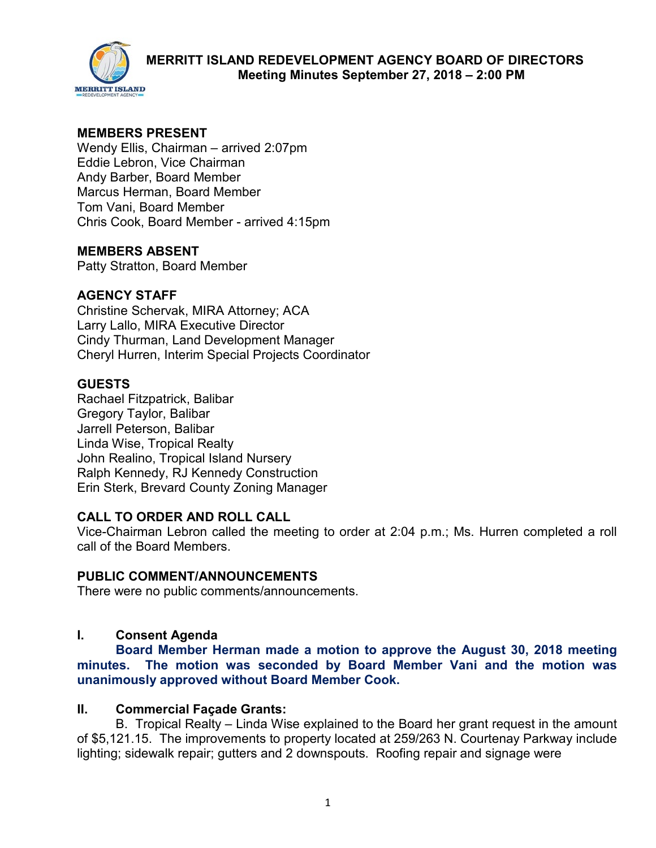

# **MEMBERS PRESENT**

Wendy Ellis, Chairman – arrived 2:07pm Eddie Lebron, Vice Chairman Andy Barber, Board Member Marcus Herman, Board Member Tom Vani, Board Member Chris Cook, Board Member - arrived 4:15pm

## **MEMBERS ABSENT**

Patty Stratton, Board Member

# **AGENCY STAFF**

Christine Schervak, MIRA Attorney; ACA Larry Lallo, MIRA Executive Director Cindy Thurman, Land Development Manager Cheryl Hurren, Interim Special Projects Coordinator

# **GUESTS**

Rachael Fitzpatrick, Balibar Gregory Taylor, Balibar Jarrell Peterson, Balibar Linda Wise, Tropical Realty John Realino, Tropical Island Nursery Ralph Kennedy, RJ Kennedy Construction Erin Sterk, Brevard County Zoning Manager

## **CALL TO ORDER AND ROLL CALL**

Vice-Chairman Lebron called the meeting to order at 2:04 p.m.; Ms. Hurren completed a roll call of the Board Members.

## **PUBLIC COMMENT/ANNOUNCEMENTS**

There were no public comments/announcements.

# **I. Consent Agenda**

**Board Member Herman made a motion to approve the August 30, 2018 meeting minutes. The motion was seconded by Board Member Vani and the motion was unanimously approved without Board Member Cook.** 

## **II. Commercial Façade Grants:**

B. Tropical Realty – Linda Wise explained to the Board her grant request in the amount of \$5,121.15. The improvements to property located at 259/263 N. Courtenay Parkway include lighting; sidewalk repair; gutters and 2 downspouts. Roofing repair and signage were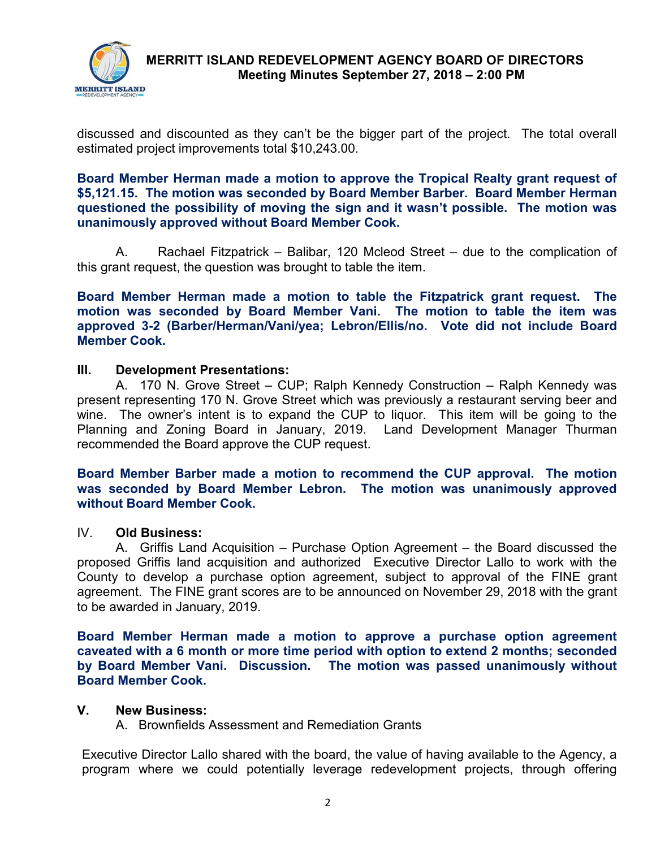

# **MERRITT ISLAND REDEVELOPMENT AGENCY BOARD OF DIRECTORS Meeting Minutes September 27, 2018 – 2:00 PM**

discussed and discounted as they can't be the bigger part of the project. The total overall estimated project improvements total \$10,243.00.

**Board Member Herman made a motion to approve the Tropical Realty grant request of \$5,121.15. The motion was seconded by Board Member Barber. Board Member Herman questioned the possibility of moving the sign and it wasn't possible. The motion was unanimously approved without Board Member Cook.** 

A. Rachael Fitzpatrick – Balibar, 120 Mcleod Street – due to the complication of this grant request, the question was brought to table the item.

**Board Member Herman made a motion to table the Fitzpatrick grant request. The motion was seconded by Board Member Vani. The motion to table the item was approved 3-2 (Barber/Herman/Vani/yea; Lebron/Ellis/no. Vote did not include Board Member Cook.** 

#### **III. Development Presentations:**

A. 170 N. Grove Street – CUP; Ralph Kennedy Construction – Ralph Kennedy was present representing 170 N. Grove Street which was previously a restaurant serving beer and wine. The owner's intent is to expand the CUP to liquor. This item will be going to the Planning and Zoning Board in January, 2019. Land Development Manager Thurman recommended the Board approve the CUP request.

**Board Member Barber made a motion to recommend the CUP approval. The motion was seconded by Board Member Lebron. The motion was unanimously approved without Board Member Cook.** 

#### IV. **Old Business:**

A. Griffis Land Acquisition – Purchase Option Agreement – the Board discussed the proposed Griffis land acquisition and authorized Executive Director Lallo to work with the County to develop a purchase option agreement, subject to approval of the FINE grant agreement. The FINE grant scores are to be announced on November 29, 2018 with the grant to be awarded in January, 2019.

**Board Member Herman made a motion to approve a purchase option agreement caveated with a 6 month or more time period with option to extend 2 months; seconded by Board Member Vani. Discussion. The motion was passed unanimously without Board Member Cook.** 

#### **V. New Business:**

A. Brownfields Assessment and Remediation Grants

Executive Director Lallo shared with the board, the value of having available to the Agency, a program where we could potentially leverage redevelopment projects, through offering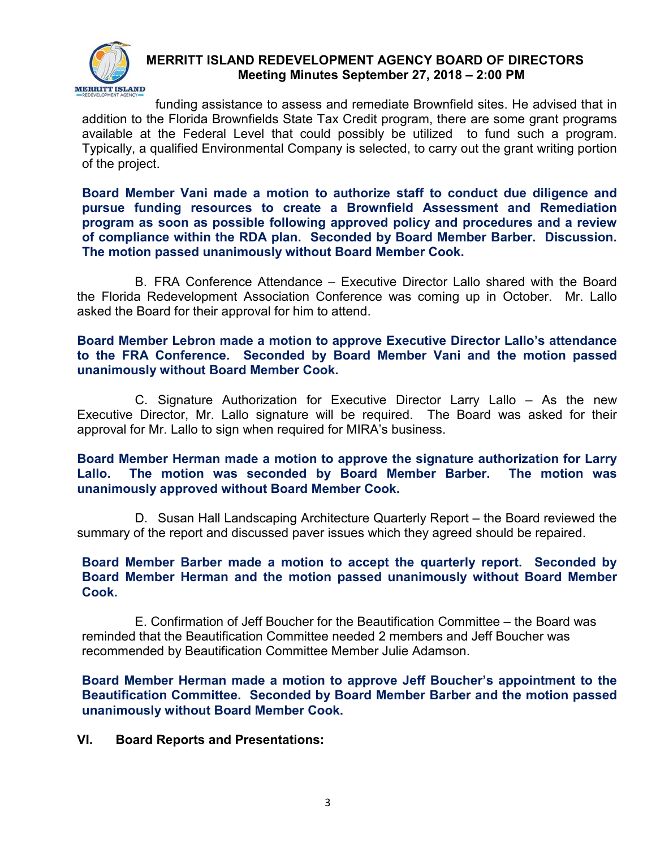

# **MERRITT ISLAND REDEVELOPMENT AGENCY BOARD OF DIRECTORS Meeting Minutes September 27, 2018 – 2:00 PM**

funding assistance to assess and remediate Brownfield sites. He advised that in addition to the Florida Brownfields State Tax Credit program, there are some grant programs available at the Federal Level that could possibly be utilized to fund such a program. Typically, a qualified Environmental Company is selected, to carry out the grant writing portion of the project.

**Board Member Vani made a motion to authorize staff to conduct due diligence and pursue funding resources to create a Brownfield Assessment and Remediation program as soon as possible following approved policy and procedures and a review of compliance within the RDA plan. Seconded by Board Member Barber. Discussion. The motion passed unanimously without Board Member Cook.** 

B. FRA Conference Attendance – Executive Director Lallo shared with the Board the Florida Redevelopment Association Conference was coming up in October. Mr. Lallo asked the Board for their approval for him to attend.

## **Board Member Lebron made a motion to approve Executive Director Lallo's attendance to the FRA Conference. Seconded by Board Member Vani and the motion passed unanimously without Board Member Cook.**

C. Signature Authorization for Executive Director Larry Lallo – As the new Executive Director, Mr. Lallo signature will be required. The Board was asked for their approval for Mr. Lallo to sign when required for MIRA's business.

## **Board Member Herman made a motion to approve the signature authorization for Larry Lallo. The motion was seconded by Board Member Barber. The motion was unanimously approved without Board Member Cook.**

D. Susan Hall Landscaping Architecture Quarterly Report – the Board reviewed the summary of the report and discussed paver issues which they agreed should be repaired.

## **Board Member Barber made a motion to accept the quarterly report. Seconded by Board Member Herman and the motion passed unanimously without Board Member Cook.**

E. Confirmation of Jeff Boucher for the Beautification Committee – the Board was reminded that the Beautification Committee needed 2 members and Jeff Boucher was recommended by Beautification Committee Member Julie Adamson.

**Board Member Herman made a motion to approve Jeff Boucher's appointment to the Beautification Committee. Seconded by Board Member Barber and the motion passed unanimously without Board Member Cook.** 

## **VI. Board Reports and Presentations:**